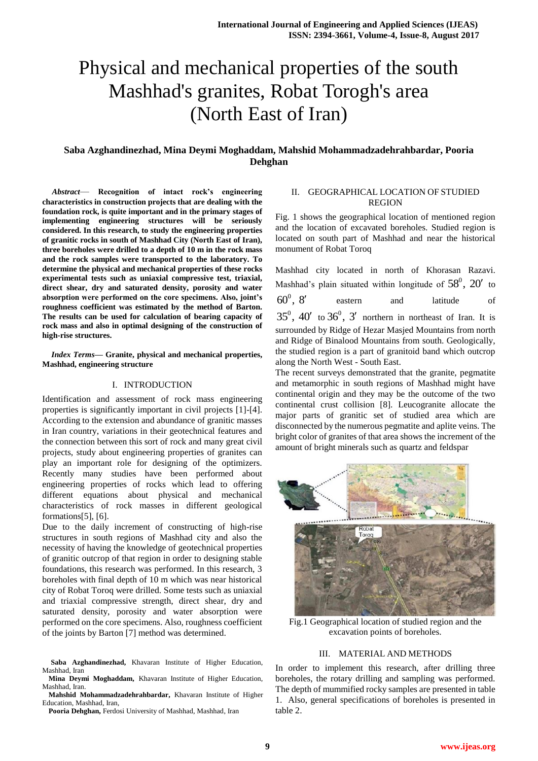# Physical and mechanical properties of the south Mashhad's granites, Robat Torogh's area (North East of Iran)

# **Saba Azghandinezhad, Mina Deymi Moghaddam, Mahshid Mohammadzadehrahbardar, Pooria Dehghan**

*Abstract*— **Recognition of intact rock's engineering characteristics in construction projects that are dealing with the foundation rock, is quite important and in the primary stages of implementing engineering structures will be seriously considered. In this research, to study the engineering properties of granitic rocks in south of Mashhad City (North East of Iran), three boreholes were drilled to a depth of 10 m in the rock mass and the rock samples were transported to the laboratory. To determine the physical and mechanical properties of these rocks experimental tests such as uniaxial compressive test, triaxial, direct shear, dry and saturated density, porosity and water absorption were performed on the core specimens. Also, joint's roughness coefficient was estimated by the method of Barton. The results can be used for calculation of bearing capacity of rock mass and also in optimal designing of the construction of high-rise structures.**

#### *Index Terms***— Granite, physical and mechanical properties, Mashhad, engineering structure**

#### I. INTRODUCTION

Identification and assessment of rock mass engineering properties is significantly important in civil projects [1]-[4]. According to the extension and abundance of granitic masses in Iran country, variations in their geotechnical features and the connection between this sort of rock and many great civil projects, study about engineering properties of granites can play an important role for designing of the optimizers. Recently many studies have been performed about engineering properties of rocks which lead to offering different equations about physical and mechanical characteristics of rock masses in different geological formations[5], [6].

Due to the daily increment of constructing of high-rise structures in south regions of Mashhad city and also the necessity of having the knowledge of geotechnical properties of granitic outcrop of that region in order to designing stable foundations, this research was performed. In this research, 3 boreholes with final depth of 10 m which was near historical city of Robat Toroq were drilled. Some tests such as uniaxial and triaxial compressive strength, direct shear, dry and saturated density, porosity and water absorption were performed on the core specimens. Also, roughness coefficient of the joints by Barton [7] method was determined.

**Saba Azghandinezhad,** Khavaran Institute of Higher Education, Mashhad, Iran

**Mina Deymi Moghaddam,** Khavaran Institute of Higher Education, Mashhad, Iran.

**Mahshid Mohammadzadehrahbardar,** Khavaran Institute of Higher Education, Mashhad, Iran,

#### **Pooria Dehghan,** Ferdosi University of Mashhad, Mashhad, Iran

## II. GEOGRAPHICAL LOCATION OF STUDIED REGION

Fig. 1 shows the geographical location of mentioned region and the location of excavated boreholes. Studied region is located on south part of Mashhad and near the historical monument of Robat Toroq

Mashhad city located in north of Khorasan Razavi. Mashhad's plain situated within longitude of  $58^\circ$ ,  $20'$  to  $60^0, 8'$ eastern and latitude of  $35^0$ ,  $40'$  to  $36^0$ ,  $3'$  northern in northeast of Iran. It is surrounded by Ridge of Hezar Masjed Mountains from north and Ridge of Binalood Mountains from south. Geologically, the studied region is a part of granitoid band which outcrop along the North West - South East.

The recent surveys demonstrated that the granite, pegmatite and metamorphic in south regions of Mashhad might have continental origin and they may be the outcome of the two continental crust collision [8]. Leucogranite allocate the major parts of granitic set of studied area which are disconnected by the numerous pegmatite and aplite veins. The bright color of granites of that area shows the increment of the amount of bright minerals such as quartz and feldspar



Fig.1 Geographical location of studied region and the excavation points of boreholes.

## III. MATERIAL AND METHODS

In order to implement this research, after drilling three boreholes, the rotary drilling and sampling was performed. The depth of mummified rocky samples are presented in table 1. Also, general specifications of boreholes is presented in table 2.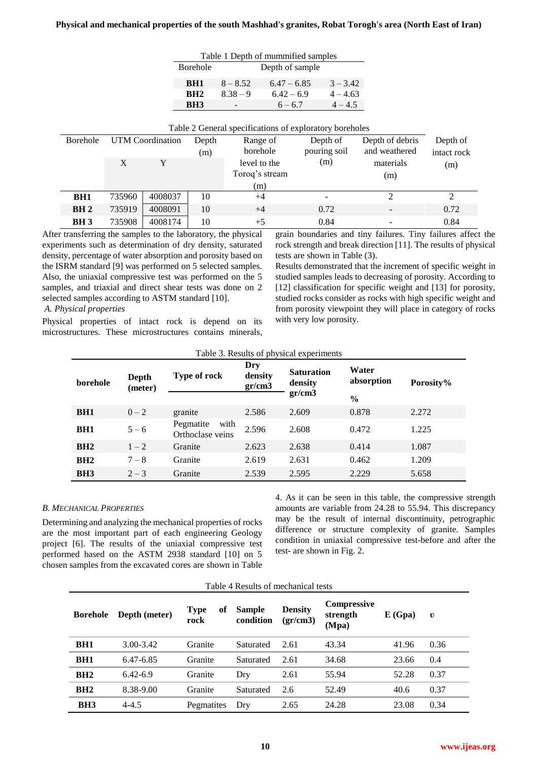## **Physical and mechanical properties of the south Mashhad's granites, Robat Torogh's area (North East of Iran)**

|                 |        |                  | Table 1 Depth of mummified samples |                 |               |                                                         |                 |                |  |
|-----------------|--------|------------------|------------------------------------|-----------------|---------------|---------------------------------------------------------|-----------------|----------------|--|
|                 |        |                  | <b>Borehole</b>                    | Depth of sample |               |                                                         |                 |                |  |
|                 |        |                  | BH <sub>1</sub>                    | $8 - 8.52$      | $6.47 - 6.85$ | $3 - 3.42$                                              |                 |                |  |
|                 |        |                  | BH2                                | $8.38 - 9$      | $6.42 - 6.9$  | $4 - 4.63$                                              |                 |                |  |
|                 |        |                  | BH <sub>3</sub>                    |                 | $6 - 6.7$     | $4 - 4.5$                                               |                 |                |  |
|                 |        |                  |                                    |                 |               |                                                         |                 |                |  |
|                 |        |                  |                                    |                 |               | Table 2 General specifications of exploratory boreholes |                 |                |  |
| Borehole        |        | UTM Coordination | Depth                              | Range of        |               | Depth of                                                | Depth of debris | Depth of       |  |
|                 |        |                  | (m)                                | borehole        |               | pouring soil                                            | and weathered   | intact rock    |  |
|                 | X      | Y                |                                    | level to the    |               | (m)                                                     | materials       | (m)            |  |
|                 |        |                  |                                    | Toroq's stream  |               |                                                         | (m)             |                |  |
|                 |        |                  |                                    | (m)             |               |                                                         |                 |                |  |
| BH <sub>1</sub> | 735960 | 4008037          | 10                                 | $+4$            |               |                                                         | $\mathfrak{D}$  | $\overline{2}$ |  |
| BH <sub>2</sub> | 735919 | 4008091          | 10                                 | $+4$            |               | 0.72                                                    | ۰               | 0.72           |  |
| <b>BH3</b>      | 735908 | 4008174          | 10                                 | $+5$            |               | 0.84                                                    |                 | 0.84           |  |

After transferring the samples to the laboratory, the physical experiments such as determination of dry density, saturated density, percentage of water absorption and porosity based on the ISRM standard [9] was performed on 5 selected samples. Also, the uniaxial compressive test was performed on the 5 samples, and triaxial and direct shear tests was done on 2 selected samples according to ASTM standard [10].

grain boundaries and tiny failures. Tiny failures affect the rock strength and break direction [11]. The results of physical tests are shown in Table (3).

Results demonstrated that the increment of specific weight in studied samples leads to decreasing of porosity. According to [12] classification for specific weight and [13] for porosity, studied rocks consider as rocks with high specific weight and from porosity viewpoint they will place in category of rocks with very low porosity.

## *A. Physical properties*

Physical properties of intact rock is depend on its microstructures. These microstructures contains minerals,

| Table 3. Results of physical experiments |                  |                                       |                          |                              |                     |           |  |  |
|------------------------------------------|------------------|---------------------------------------|--------------------------|------------------------------|---------------------|-----------|--|--|
| borehole                                 | Depth<br>(meter) | <b>Type of rock</b>                   | Dry<br>density<br>gr/cm3 | <b>Saturation</b><br>density | Water<br>absorption | Porosity% |  |  |
|                                          |                  |                                       |                          | gr/cm3                       | $\frac{0}{0}$       |           |  |  |
| BH <sub>1</sub>                          | $0 - 2$          | granite                               | 2.586                    | 2.609                        | 0.878               | 2.272     |  |  |
| BH <sub>1</sub>                          | $5 - 6$          | with<br>Pegmatite<br>Orthoclase veins | 2.596                    | 2.608                        | 0.472               | 1.225     |  |  |
| BH2                                      | $1 - 2$          | Granite                               | 2.623                    | 2.638                        | 0.414               | 1.087     |  |  |
| BH2                                      | $7 - 8$          | Granite                               | 2.619                    | 2.631                        | 0.462               | 1.209     |  |  |
| BH <sub>3</sub>                          | $2 - 3$          | Granite                               | 2.539                    | 2.595                        | 2.229               | 5.658     |  |  |

## *B. MECHANICAL PROPERTIES*

Determining and analyzing the mechanical properties of rocks are the most important part of each engineering Geology project [6]. The results of the uniaxial compressive test performed based on the ASTM 2938 standard [10] on 5 chosen samples from the excavated cores are shown in Table 4. As it can be seen in this table, the compressive strength amounts are variable from 24.28 to 55.94. This discrepancy may be the result of internal discontinuity, petrographic difference or structure complexity of granite. Samples condition in uniaxial compressive test-before and after the test- are shown in Fig. 2.

| Table 4 Results of mechanical tests |  |  |
|-------------------------------------|--|--|
|-------------------------------------|--|--|

| <b>Borehole</b> | Depth (meter) | <b>Type</b><br>0ľ<br>rock | <b>Sample</b><br>condition | <b>Density</b><br>gr/cm3 | <b>Compressive</b><br>strength<br>(Mpa) | E(Gpa) | v    |
|-----------------|---------------|---------------------------|----------------------------|--------------------------|-----------------------------------------|--------|------|
| BH <sub>1</sub> | $3.00 - 3.42$ | Granite                   | Saturated                  | 2.61                     | 43.34                                   | 41.96  | 0.36 |
| BH <sub>1</sub> | 6.47-6.85     | Granite                   | Saturated                  | 2.61                     | 34.68                                   | 23.66  | 0.4  |
| BH2             | $6.42 - 6.9$  | Granite                   | Dry                        | 2.61                     | 55.94                                   | 52.28  | 0.37 |
| BH2             | 8.38-9.00     | Granite                   | Saturated                  | 2.6                      | 52.49                                   | 40.6   | 0.37 |
| BH <sub>3</sub> | $4 - 4.5$     | Pegmatites                | Dry                        | 2.65                     | 24.28                                   | 23.08  | 0.34 |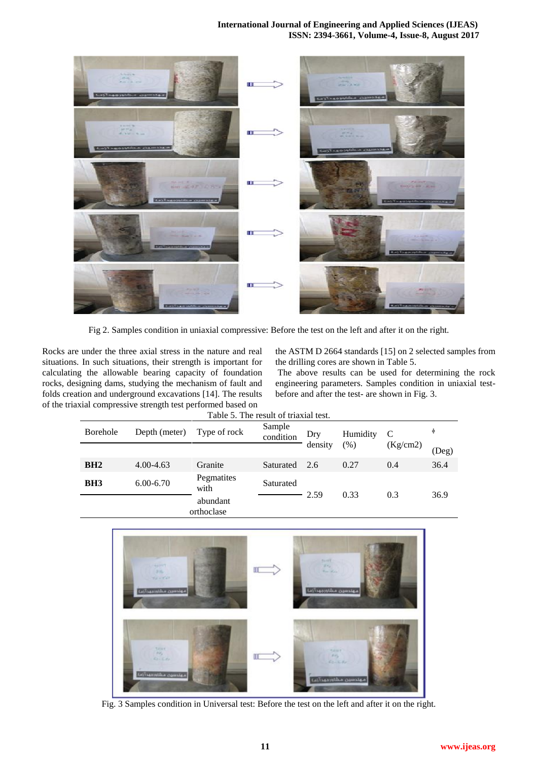# **International Journal of Engineering and Applied Sciences (IJEAS) ISSN: 2394-3661, Volume-4, Issue-8, August 2017**



Fig 2. Samples condition in uniaxial compressive: Before the test on the left and after it on the right.

Rocks are under the three axial stress in the nature and real situations. In such situations, their strength is important for calculating the allowable bearing capacity of foundation rocks, designing dams, studying the mechanism of fault and folds creation and underground excavations [14]. The results of the triaxial compressive strength test performed based on

the ASTM D 2664 standards [15] on 2 selected samples from the drilling cores are shown in Table 5.

The above results can be used for determining the rock engineering parameters. Samples condition in uniaxial testbefore and after the test- are shown in Fig. 3.

| Table 5. The result of triaxial test. |               |                                                             |               |         |        |          |       |  |
|---------------------------------------|---------------|-------------------------------------------------------------|---------------|---------|--------|----------|-------|--|
| Borehole                              | Depth (meter) | Sample<br>Type of rock<br>Humidity<br>C<br>Dry<br>condition |               |         | φ      |          |       |  |
|                                       |               |                                                             |               | density | $(\%)$ | (Kg/cm2) | (Deg) |  |
| BH2                                   | $4.00 - 4.63$ | Granite                                                     | Saturated 2.6 |         | 0.27   | 0.4      | 36.4  |  |
| BH <sub>3</sub>                       | $6.00 - 6.70$ | Pegmatites<br>with                                          | Saturated     | 2.59    | 0.33   |          |       |  |
|                                       |               | abundant<br>orthoclase                                      |               |         |        | 0.3      | 36.9  |  |



Fig. 3 Samples condition in Universal test: Before the test on the left and after it on the right.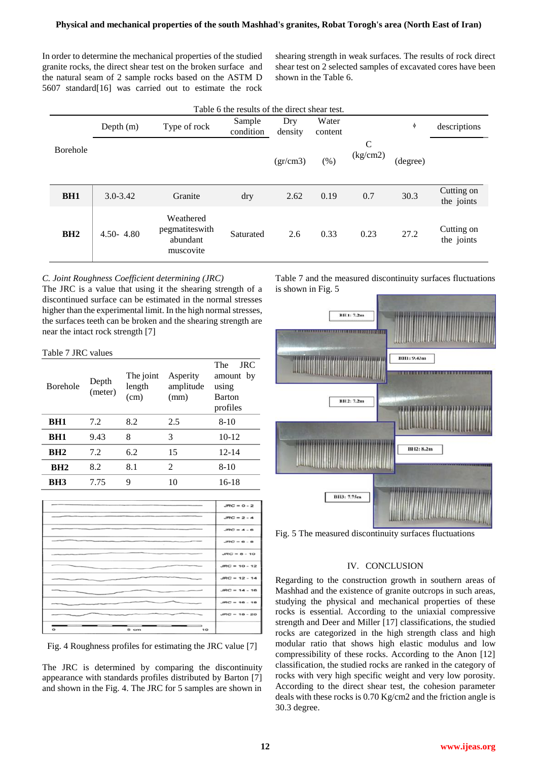In order to determine the mechanical properties of the studied granite rocks, the direct shear test on the broken surface and the natural seam of 2 sample rocks based on the ASTM D 5607 standard[16] was carried out to estimate the rock shearing strength in weak surfaces. The results of rock direct shear test on 2 selected samples of excavated cores have been shown in the Table 6.

| Table 6 the results of the direct shear test. |               |                                                      |                     |                |                  |                          |          |                          |  |
|-----------------------------------------------|---------------|------------------------------------------------------|---------------------|----------------|------------------|--------------------------|----------|--------------------------|--|
|                                               | Depth $(m)$   | Type of rock                                         | Sample<br>condition | Dry<br>density | Water<br>content |                          | $\Phi$   | descriptions             |  |
| <b>Borehole</b>                               |               |                                                      |                     | gr/cm3)        | (% )             | $\mathsf{C}$<br>(kg/cm2) | (degree) |                          |  |
| BH <sub>1</sub>                               | $3.0 - 3.42$  | Granite                                              | dry                 | 2.62           | 0.19             | 0.7                      | 30.3     | Cutting on<br>the joints |  |
| BH2                                           | $4.50 - 4.80$ | Weathered<br>pegmatiteswith<br>abundant<br>muscovite | Saturated           | 2.6            | 0.33             | 0.23                     | 27.2     | Cutting on<br>the joints |  |

# *C. Joint Roughness Coefficient determining (JRC)*

The JRC is a value that using it the shearing strength of a discontinued surface can be estimated in the normal stresses higher than the experimental limit. In the high normal stresses, the surfaces teeth can be broken and the shearing strength are near the intact rock strength [7]

## Table 7 JRC values

| <b>Borehole</b> | Depth<br>(meter) | The joint<br>length<br>(cm) | Asperity<br>amplitude<br>(mm) | <b>The</b><br><b>JRC</b><br>amount by<br>using<br><b>Barton</b><br>profiles |
|-----------------|------------------|-----------------------------|-------------------------------|-----------------------------------------------------------------------------|
| BH1             | 7.2              | 8.2                         | 2.5                           | $8-10$                                                                      |
| BH1             | 9.43             | 8                           | 3                             | $10-12$                                                                     |
| BH <sub>2</sub> | 7.2              | 6.2                         | 15                            | $12 - 14$                                                                   |
| BH2             | 8.2              | 8.1                         | 2                             | $8-10$                                                                      |
| BH <sub>3</sub> | 7.75             | 9                           | 10                            | 16-18                                                                       |

|                            | $JRC = 0 - 2$   |
|----------------------------|-----------------|
|                            | $JRC = 2 - 4$   |
|                            | $JRC = 4 - 6$   |
|                            | $JRC = 6 - 8$   |
|                            | $JRC = 8 - 10$  |
|                            | $JRC = 10 - 12$ |
|                            | $JRC = 12 - 14$ |
|                            | $JRC = 14 - 16$ |
|                            | $JRC = 16 - 18$ |
|                            | $JRC = 18 - 20$ |
| –<br>$\circ$<br>5 cm<br>10 |                 |

Fig. 4 Roughness profiles for estimating the JRC value [7]

The JRC is determined by comparing the discontinuity appearance with standards profiles distributed by Barton [7] and shown in the Fig. 4. The JRC for 5 samples are shown in

Table 7 and the measured discontinuity surfaces fluctuations is shown in Fig. 5



Fig. 5 The measured discontinuity surfaces fluctuations

## IV. CONCLUSION

Regarding to the construction growth in southern areas of Mashhad and the existence of granite outcrops in such areas, studying the physical and mechanical properties of these rocks is essential. According to the uniaxial compressive strength and Deer and Miller [17] classifications, the studied rocks are categorized in the high strength class and high modular ratio that shows high elastic modulus and low compressibility of these rocks. According to the Anon [12] classification, the studied rocks are ranked in the category of rocks with very high specific weight and very low porosity. According to the direct shear test, the cohesion parameter deals with these rocks is 0.70 Kg/cm2 and the friction angle is 30.3 degree.